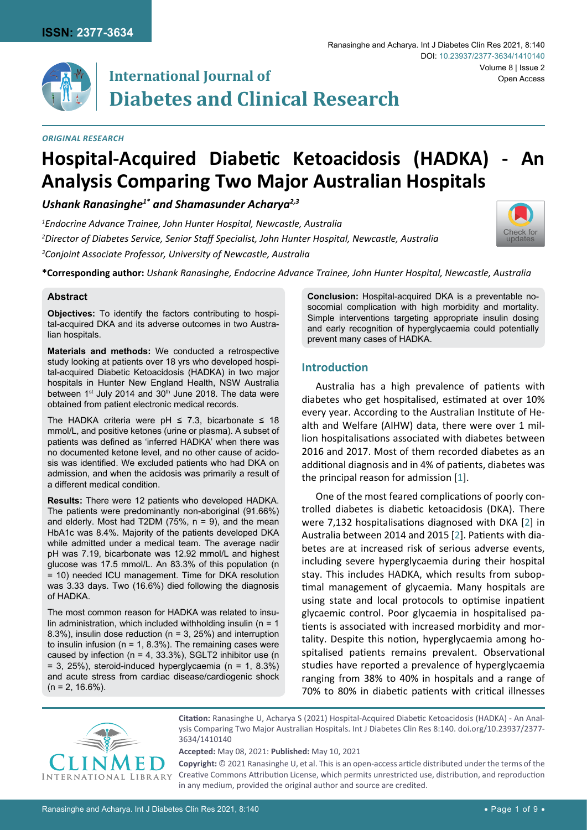

# **International Journal of Diabetes and Clinical Research**

#### *Original Research*

# **Hospital-Acquired Diabetic Ketoacidosis (HADKA) - An Analysis Comparing Two Major Australian Hospitals**

*Ushank Ranasinghe1\* and Shamasunder Acharya2,3*

*1 Endocrine Advance Trainee, John Hunter Hospital, Newcastle, Australia 2 Director of Diabetes Service, Senior Staff Specialist, John Hunter Hospital, Newcastle, Australia 3 Conjoint Associate Professor, University of Newcastle, Australia*



**\*Corresponding author:** *Ushank Ranasinghe, Endocrine Advance Trainee, John Hunter Hospital, Newcastle, Australia*

# **Abstract**

**Objectives:** To identify the factors contributing to hospital-acquired DKA and its adverse outcomes in two Australian hospitals.

**Materials and methods:** We conducted a retrospective study looking at patients over 18 yrs who developed hospital-acquired Diabetic Ketoacidosis (HADKA) in two major hospitals in Hunter New England Health, NSW Australia between 1<sup>st</sup> July 2014 and 30<sup>th</sup> June 2018. The data were obtained from patient electronic medical records.

The HADKA criteria were pH  $\leq$  7.3, bicarbonate  $\leq$  18 mmol/L, and positive ketones (urine or plasma). A subset of patients was defined as 'inferred HADKA' when there was no documented ketone level, and no other cause of acidosis was identified. We excluded patients who had DKA on admission, and when the acidosis was primarily a result of a different medical condition.

**Results:** There were 12 patients who developed HADKA. The patients were predominantly non-aboriginal (91.66%) and elderly. Most had T2DM  $(75\% , n = 9)$ , and the mean HbA1c was 8.4%. Majority of the patients developed DKA while admitted under a medical team. The average nadir pH was 7.19, bicarbonate was 12.92 mmol/L and highest glucose was 17.5 mmol/L. An 83.3% of this population (n = 10) needed ICU management. Time for DKA resolution was 3.33 days. Two (16.6%) died following the diagnosis of HADKA.

The most common reason for HADKA was related to insulin administration, which included withholding insulin ( $n = 1$ ) 8.3%), insulin dose reduction (n = 3, 25%) and interruption to insulin infusion ( $n = 1$ , 8.3%). The remaining cases were caused by infection ( $n = 4$ , 33.3%), SGLT2 inhibitor use ( $n = 1$  $= 3$ , 25%), steroid-induced hyperglycaemia (n = 1, 8.3%) and acute stress from cardiac disease/cardiogenic shock  $(n = 2, 16.6\%)$ .

**Conclusion:** Hospital-acquired DKA is a preventable nosocomial complication with high morbidity and mortality. Simple interventions targeting appropriate insulin dosing and early recognition of hyperglycaemia could potentially prevent many cases of HADKA.

# **Introduction**

Australia has a high prevalence of patients with diabetes who get hospitalised, estimated at over 10% every year. According to the Australian Institute of Health and Welfare (AIHW) data, there were over 1 million hospitalisations associated with diabetes between 2016 and 2017. Most of them recorded diabetes as an additional diagnosis and in 4% of patients, diabetes was the principal reason for admission [[1\]](#page-7-0).

One of the most feared complications of poorly controlled diabetes is diabetic ketoacidosis (DKA). There were 7,132 hospitalisations diagnosed with DKA [[2\]](#page-7-1) in Australia between 2014 and 2015 [[2](#page-7-1)]. Patients with diabetes are at increased risk of serious adverse events, including severe hyperglycaemia during their hospital stay. This includes HADKA, which results from suboptimal management of glycaemia. Many hospitals are using state and local protocols to optimise inpatient glycaemic control. Poor glycaemia in hospitalised patients is associated with increased morbidity and mortality. Despite this notion, hyperglycaemia among hospitalised patients remains prevalent. Observational studies have reported a prevalence of hyperglycaemia ranging from 38% to 40% in hospitals and a range of 70% to 80% in diabetic patients with critical illnesses



**Citation:** Ranasinghe U, Acharya S (2021) Hospital-Acquired Diabetic Ketoacidosis (HADKA) - An Analysis Comparing Two Major Australian Hospitals. Int J Diabetes Clin Res 8:140. [doi.org/10.23937/2377-](https://doi.org/10.23937/2377-3634/1410140) [3634/1410140](https://doi.org/10.23937/2377-3634/1410140)

**Accepted:** May 08, 2021: **Published:** May 10, 2021

**Copyright:** © 2021 Ranasinghe U, et al. This is an open-access article distributed under the terms of the Creative Commons Attribution License, which permits unrestricted use, distribution, and reproduction in any medium, provided the original author and source are credited.

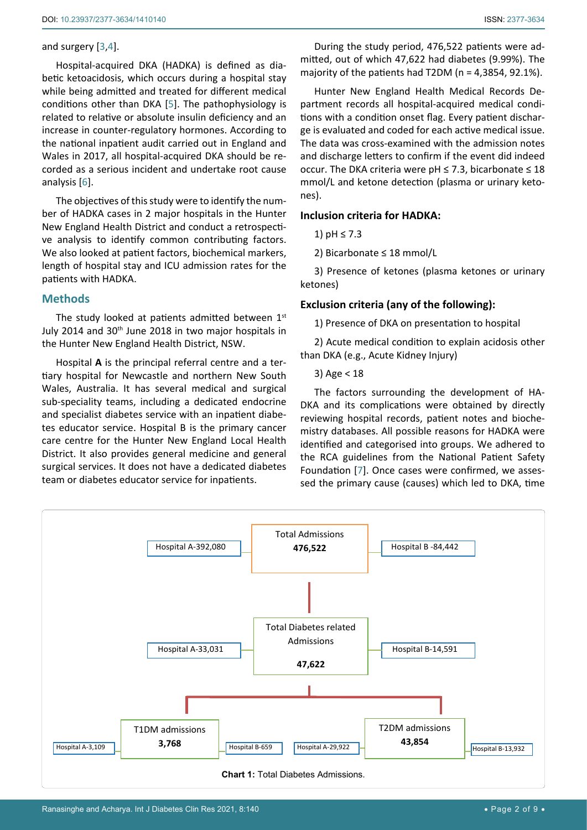#### and surgery [[3](#page-7-3)[,4\]](#page-7-4).

Hospital-acquired DKA (HADKA) is defined as diabetic ketoacidosis, which occurs during a hospital stay while being admitted and treated for different medical conditions other than DKA [[5](#page-7-5)]. The pathophysiology is related to relative or absolute insulin deficiency and an increase in counter-regulatory hormones. According to the national inpatient audit carried out in England and Wales in 2017, all hospital-acquired DKA should be recorded as a serious incident and undertake root cause analysis [[6\]](#page-7-6).

The objectives of this study were to identify the number of HADKA cases in 2 major hospitals in the Hunter New England Health District and conduct a retrospective analysis to identify common contributing factors. We also looked at patient factors, biochemical markers, length of hospital stay and ICU admission rates for the patients with HADKA.

# **Methods**

The study looked at patients admitted between  $1<sup>st</sup>$ July 2014 and 30<sup>th</sup> June 2018 in two major hospitals in the Hunter New England Health District, NSW.

Hospital **A** is the principal referral centre and a tertiary hospital for Newcastle and northern New South Wales, Australia. It has several medical and surgical sub-speciality teams, including a dedicated endocrine and specialist diabetes service with an inpatient diabetes educator service. Hospital B is the primary cancer care centre for the Hunter New England Local Health District. It also provides general medicine and general surgical services. It does not have a dedicated diabetes team or diabetes educator service for inpatients.

During the study period, 476,522 patients were admitted, out of which 47,622 had diabetes (9.99%). The majority of the patients had T2DM ( $n = 4,3854, 92.1\%$ ).

Hunter New England Health Medical Records Department records all hospital-acquired medical conditions with a condition onset flag. Every patient discharge is evaluated and coded for each active medical issue. The data was cross-examined with the admission notes and discharge letters to confirm if the event did indeed occur. The DKA criteria were pH  $\leq$  7.3, bicarbonate  $\leq$  18 mmol/L and ketone detection (plasma or urinary ketones).

# **Inclusion criteria for HADKA:**

1) pH ≤ 7.3

2) Bicarbonate ≤ 18 mmol/L

3) Presence of ketones (plasma ketones or urinary ketones)

# **Exclusion criteria (any of the following):**

1) Presence of DKA on presentation to hospital

2) Acute medical condition to explain acidosis other than DKA (e.g., Acute Kidney Injury)

3) Age < 18

The factors surrounding the development of HA-DKA and its complications were obtained by directly reviewing hospital records, patient notes and biochemistry databases. All possible reasons for HADKA were identified and categorised into groups. We adhered to the RCA guidelines from the National Patient Safety Foundation [[7](#page-7-2)]. Once cases were confirmed, we assessed the primary cause (causes) which led to DKA, time

<span id="page-1-0"></span>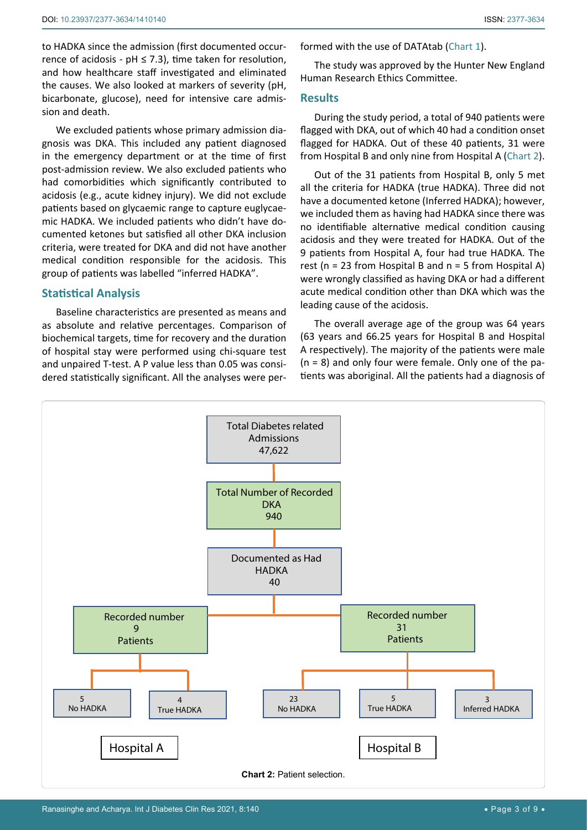to HADKA since the admission (first documented occurrence of acidosis -  $pH \le 7.3$ ), time taken for resolution, and how healthcare staff investigated and eliminated the causes. We also looked at markers of severity (pH, bicarbonate, glucose), need for intensive care admission and death.

We excluded patients whose primary admission diagnosis was DKA. This included any patient diagnosed in the emergency department or at the time of first post-admission review. We also excluded patients who had comorbidities which significantly contributed to acidosis (e.g., acute kidney injury). We did not exclude patients based on glycaemic range to capture euglycaemic HADKA. We included patients who didn't have documented ketones but satisfied all other DKA inclusion criteria, were treated for DKA and did not have another medical condition responsible for the acidosis. This group of patients was labelled "inferred HADKA".

# **Statistical Analysis**

Baseline characteristics are presented as means and as absolute and relative percentages. Comparison of biochemical targets, time for recovery and the duration of hospital stay were performed using chi-square test and unpaired T-test. A P value less than 0.05 was considered statistically significant. All the analyses were performed with the use of DATAtab ([Chart 1\)](#page-1-0).

The study was approved by the Hunter New England Human Research Ethics Committee.

#### **Results**

During the study period, a total of 940 patients were flagged with DKA, out of which 40 had a condition onset flagged for HADKA. Out of these 40 patients, 31 were from Hospital B and only nine from Hospital A ([Chart 2\)](#page-2-0).

Out of the 31 patients from Hospital B, only 5 met all the criteria for HADKA (true HADKA). Three did not have a documented ketone (Inferred HADKA); however, we included them as having had HADKA since there was no identifiable alternative medical condition causing acidosis and they were treated for HADKA. Out of the 9 patients from Hospital A, four had true HADKA. The rest ( $n = 23$  from Hospital B and  $n = 5$  from Hospital A) were wrongly classified as having DKA or had a different acute medical condition other than DKA which was the leading cause of the acidosis.

The overall average age of the group was 64 years (63 years and 66.25 years for Hospital B and Hospital A respectively). The majority of the patients were male  $(n = 8)$  and only four were female. Only one of the patients was aboriginal. All the patients had a diagnosis of

<span id="page-2-0"></span>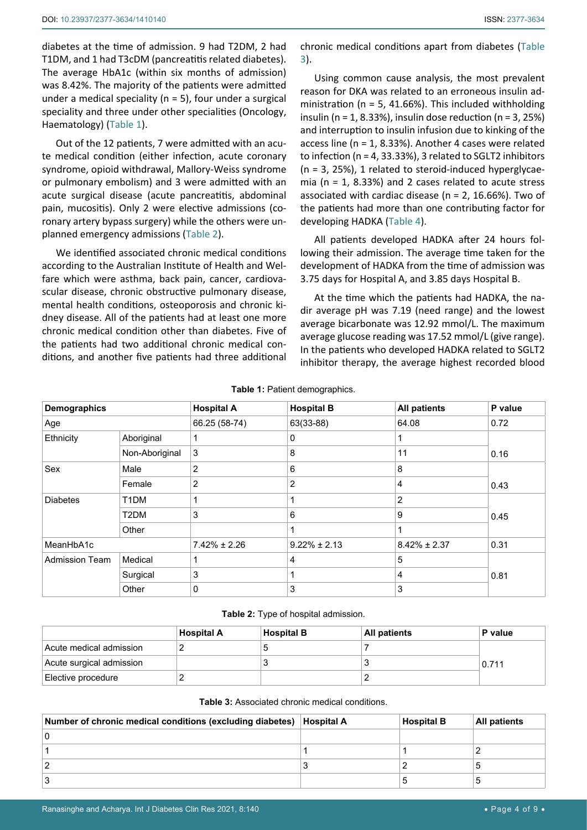diabetes at the time of admission. 9 had T2DM, 2 had T1DM, and 1 had T3cDM (pancreatitis related diabetes). The average HbA1c (within six months of admission) was 8.42%. The majority of the patients were admitted under a medical speciality ( $n = 5$ ), four under a surgical speciality and three under other specialities (Oncology, Haematology) [\(Table 1\)](#page-3-1).

Out of the 12 patients, 7 were admitted with an acute medical condition (either infection, acute coronary syndrome, opioid withdrawal, Mallory-Weiss syndrome or pulmonary embolism) and 3 were admitted with an acute surgical disease (acute pancreatitis, abdominal pain, mucositis). Only 2 were elective admissions (coronary artery bypass surgery) while the others were unplanned emergency admissions ([Table 2](#page-3-2)).

We identified associated chronic medical conditions according to the Australian Institute of Health and Welfare which were asthma, back pain, cancer, cardiovascular disease, chronic obstructive pulmonary disease, mental health conditions, osteoporosis and chronic kidney disease. All of the patients had at least one more chronic medical condition other than diabetes. Five of the patients had two additional chronic medical conditions, and another five patients had three additional chronic medical conditions apart from diabetes ([Table](#page-3-0)  [3](#page-3-0)).

Using common cause analysis, the most prevalent reason for DKA was related to an erroneous insulin administration ( $n = 5$ , 41.66%). This included withholding insulin (n = 1, 8.33%), insulin dose reduction (n = 3, 25%) and interruption to insulin infusion due to kinking of the access line (n = 1, 8.33%). Another 4 cases were related to infection (n = 4, 33.33%), 3 related to SGLT2 inhibitors  $(n = 3, 25\%)$ , 1 related to steroid-induced hyperglycaemia ( $n = 1$ , 8.33%) and 2 cases related to acute stress associated with cardiac disease ( $n = 2$ , 16.66%). Two of the patients had more than one contributing factor for developing HADKA ([Table 4\)](#page-4-0).

All patients developed HADKA after 24 hours following their admission. The average time taken for the development of HADKA from the time of admission was 3.75 days for Hospital A, and 3.85 days Hospital B.

At the time which the patients had HADKA, the nadir average pH was 7.19 (need range) and the lowest average bicarbonate was 12.92 mmol/L. The maximum average glucose reading was 17.52 mmol/L (give range). In the patients who developed HADKA related to SGLT2 inhibitor therapy, the average highest recorded blood

| <b>Demographics</b>   |                   | <b>Hospital A</b> | <b>Hospital B</b> | <b>All patients</b> | P value |
|-----------------------|-------------------|-------------------|-------------------|---------------------|---------|
| Age                   |                   | 66.25 (58-74)     | 63(33-88)         | 64.08               | 0.72    |
| Ethnicity             | Aboriginal        | $\mathbf{1}$      | 0                 |                     |         |
|                       | Non-Aboriginal    | 3                 | 8                 | 11                  | 0.16    |
| Sex                   | Male              | $\overline{2}$    | 6                 | 8                   |         |
|                       | Female            | 2                 | 2                 | 4                   | 0.43    |
| <b>Diabetes</b>       | T <sub>1</sub> DM | 1                 |                   | 2                   |         |
|                       | T2DM              | 3                 | 6                 | 9                   | 0.45    |
|                       | Other             |                   |                   |                     |         |
| MeanHbA1c             |                   | $7.42\% \pm 2.26$ | $9.22\% \pm 2.13$ | $8.42\% \pm 2.37$   | 0.31    |
| <b>Admission Team</b> | Medical           | 1                 | 4                 | 5                   |         |
|                       | Surgical          | 3                 |                   | 4                   | 0.81    |
|                       | Other             | 0                 | 3                 | 3                   |         |

<span id="page-3-1"></span>**Table 1:** Patient demographics.

<span id="page-3-2"></span>**Table 2:** Type of hospital admission.

|                                 | <b>Hospital A</b> | Hospital B | <b>All patients</b> | P value |
|---------------------------------|-------------------|------------|---------------------|---------|
| Acute medical admission         |                   |            |                     |         |
| Acute surgical admission        |                   |            |                     | 0.711   |
| <sup>⊦</sup> Elective procedure |                   |            |                     |         |

<span id="page-3-0"></span>

| <b>Table 3: Associated chronic medical conditions.</b> |
|--------------------------------------------------------|
|                                                        |

| Number of chronic medical conditions (excluding diabetes) | <b>Hospital A</b> | <b>Hospital B</b> | <b>All patients</b> |
|-----------------------------------------------------------|-------------------|-------------------|---------------------|
|                                                           |                   |                   |                     |
|                                                           |                   |                   |                     |
|                                                           |                   |                   |                     |
|                                                           |                   |                   |                     |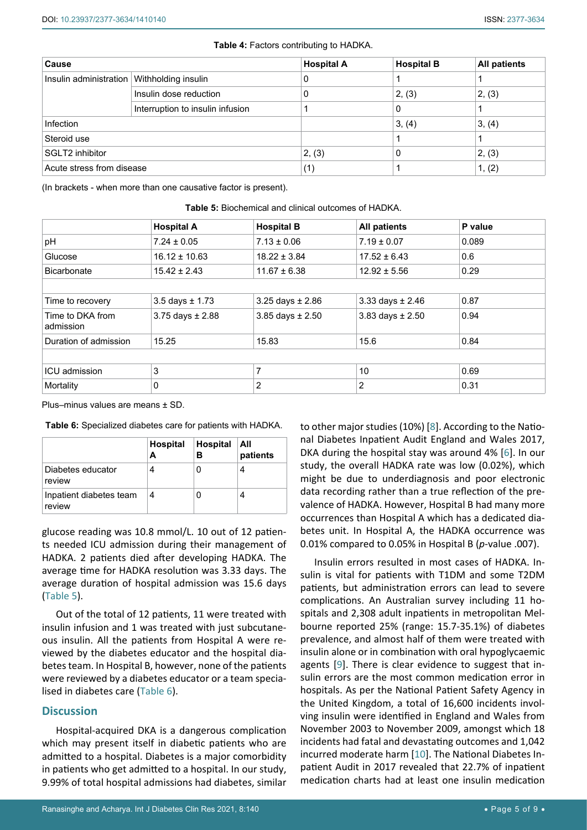| Cause                     |                                  | <b>Hospital A</b> | <b>Hospital B</b> | <b>All patients</b> |
|---------------------------|----------------------------------|-------------------|-------------------|---------------------|
| Insulin administration    | Withholding insulin              |                   |                   |                     |
|                           | Insulin dose reduction           |                   | 2, (3)            | 2, (3)              |
|                           | Interruption to insulin infusion |                   | 0                 |                     |
| <b>Infection</b>          |                                  |                   | 3, (4)            | 3, (4)              |
| Steroid use               |                                  |                   |                   |                     |
| SGLT2 inhibitor           |                                  | 2, (3)            | 0                 | 2, (3)              |
| Acute stress from disease |                                  | (1)               |                   | 1, (2)              |

#### <span id="page-4-0"></span>**Table 4:** Factors contributing to HADKA.

(In brackets - when more than one causative factor is present).

|                               | <b>Hospital A</b>      | <b>Hospital B</b>      | <b>All patients</b>  | P value |
|-------------------------------|------------------------|------------------------|----------------------|---------|
| pH                            | $7.24 \pm 0.05$        | $7.13 \pm 0.06$        | $7.19 \pm 0.07$      | 0.089   |
| Glucose                       | $16.12 \pm 10.63$      | $18.22 \pm 3.84$       | $17.52 \pm 6.43$     | 0.6     |
| <b>Bicarbonate</b>            | $15.42 \pm 2.43$       | $11.67 \pm 6.38$       | $12.92 \pm 5.56$     | 0.29    |
|                               |                        |                        |                      |         |
| Time to recovery              | $3.5$ days $\pm 1.73$  | 3.25 days $\pm 2.86$   | 3.33 days $\pm 2.46$ | 0.87    |
| Time to DKA from<br>admission | $3.75$ days $\pm 2.88$ | $3.85$ days $\pm 2.50$ | 3.83 days $\pm 2.50$ | 0.94    |
| Duration of admission         | 15.25                  | 15.83                  | 15.6                 | 0.84    |
|                               |                        |                        |                      |         |
| ICU admission                 | 3                      | 7                      | 10                   | 0.69    |
| Mortality                     | $\mathbf{0}$           | 2                      | 2                    | 0.31    |

<span id="page-4-1"></span>

| <b>Table 5:</b> Biochemical and clinical outcomes of HADKA. |  |
|-------------------------------------------------------------|--|
|-------------------------------------------------------------|--|

Plus–minus values are means ± SD.

<span id="page-4-2"></span>**Table 6:** Specialized diabetes care for patients with HADKA.

|                                   | <b>Hospital</b><br>А | Hospital   All<br>в | patients |
|-----------------------------------|----------------------|---------------------|----------|
| Diabetes educator<br>review       |                      |                     | 4        |
| Inpatient diabetes team<br>review | 4                    |                     |          |

glucose reading was 10.8 mmol/L. 10 out of 12 patients needed ICU admission during their management of HADKA. 2 patients died after developing HADKA. The average time for HADKA resolution was 3.33 days. The average duration of hospital admission was 15.6 days ([Table 5](#page-4-1)).

Out of the total of 12 patients, 11 were treated with insulin infusion and 1 was treated with just subcutaneous insulin. All the patients from Hospital A were reviewed by the diabetes educator and the hospital diabetes team. In Hospital B, however, none of the patients were reviewed by a diabetes educator or a team specialised in diabetes care [\(Table 6\)](#page-4-2).

### **Discussion**

Hospital-acquired DKA is a dangerous complication which may present itself in diabetic patients who are admitted to a hospital. Diabetes is a major comorbidity in patients who get admitted to a hospital. In our study, 9.99% of total hospital admissions had diabetes, similar to other major studies (10%) [[8](#page-7-7)]. According to the National Diabetes Inpatient Audit England and Wales 2017, DKA during the hospital stay was around 4% [[6\]](#page-7-6). In our study, the overall HADKA rate was low (0.02%), which might be due to underdiagnosis and poor electronic data recording rather than a true reflection of the prevalence of HADKA. However, Hospital B had many more occurrences than Hospital A which has a dedicated diabetes unit. In Hospital A, the HADKA occurrence was 0.01% compared to 0.05% in Hospital B (*p*-value .007).

Insulin errors resulted in most cases of HADKA. Insulin is vital for patients with T1DM and some T2DM patients, but administration errors can lead to severe complications. An Australian survey including 11 hospitals and 2,308 adult inpatients in metropolitan Melbourne reported 25% (range: 15.7-35.1%) of diabetes prevalence, and almost half of them were treated with insulin alone or in combination with oral hypoglycaemic agents [[9](#page-7-8)]. There is clear evidence to suggest that insulin errors are the most common medication error in hospitals. As per the National Patient Safety Agency in the United Kingdom, a total of 16,600 incidents involving insulin were identified in England and Wales from November 2003 to November 2009, amongst which 18 incidents had fatal and devastating outcomes and 1,042 incurred moderate harm [[10](#page-7-9)]. The National Diabetes Inpatient Audit in 2017 revealed that 22.7% of inpatient medication charts had at least one insulin medication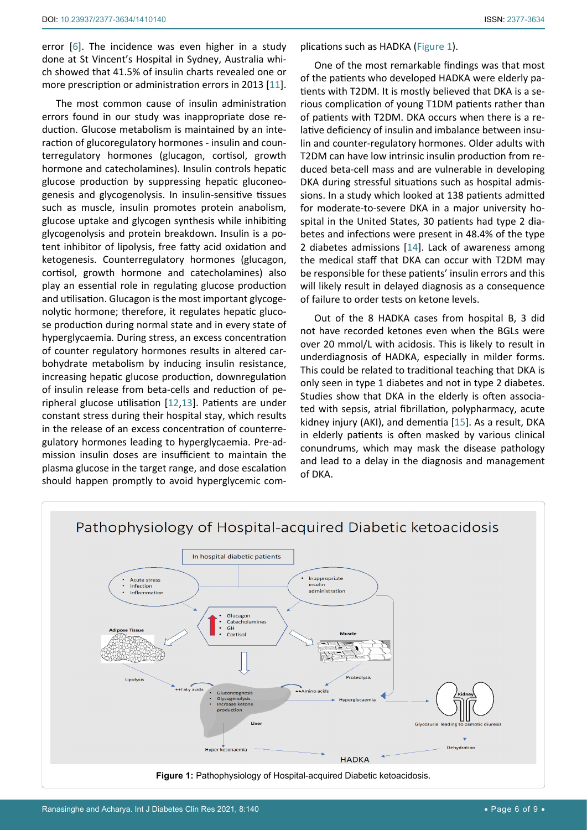error [[6](#page-7-6)]. The incidence was even higher in a study done at St Vincent's Hospital in Sydney, Australia which showed that 41.5% of insulin charts revealed one or more prescription or administration errors in 2013 [[11](#page-7-10)].

The most common cause of insulin administration errors found in our study was inappropriate dose reduction. Glucose metabolism is maintained by an interaction of glucoregulatory hormones - insulin and counterregulatory hormones (glucagon, cortisol, growth hormone and catecholamines). Insulin controls hepatic glucose production by suppressing hepatic gluconeogenesis and glycogenolysis. In insulin-sensitive tissues such as muscle, insulin promotes protein anabolism, glucose uptake and glycogen synthesis while inhibiting glycogenolysis and protein breakdown. Insulin is a potent inhibitor of lipolysis, free fatty acid oxidation and ketogenesis. Counterregulatory hormones (glucagon, cortisol, growth hormone and catecholamines) also play an essential role in regulating glucose production and utilisation. Glucagon is the most important glycogenolytic hormone; therefore, it regulates hepatic glucose production during normal state and in every state of hyperglycaemia. During stress, an excess concentration of counter regulatory hormones results in altered carbohydrate metabolism by inducing insulin resistance, increasing hepatic glucose production, downregulation of insulin release from beta-cells and reduction of peripheral glucose utilisation [[12](#page-7-11)[,13](#page-7-12)]. Patients are under constant stress during their hospital stay, which results in the release of an excess concentration of counterregulatory hormones leading to hyperglycaemia. Pre-admission insulin doses are insufficient to maintain the plasma glucose in the target range, and dose escalation should happen promptly to avoid hyperglycemic complications such as HADKA ([Figure 1\)](#page-5-0).

One of the most remarkable findings was that most of the patients who developed HADKA were elderly patients with T2DM. It is mostly believed that DKA is a serious complication of young T1DM patients rather than of patients with T2DM. DKA occurs when there is a relative deficiency of insulin and imbalance between insulin and counter-regulatory hormones. Older adults with T2DM can have low intrinsic insulin production from reduced beta-cell mass and are vulnerable in developing DKA during stressful situations such as hospital admissions. In a study which looked at 138 patients admitted for moderate-to-severe DKA in a major university hospital in the United States, 30 patients had type 2 diabetes and infections were present in 48.4% of the type 2 diabetes admissions [[14](#page-8-0)]. Lack of awareness among the medical staff that DKA can occur with T2DM may be responsible for these patients' insulin errors and this will likely result in delayed diagnosis as a consequence of failure to order tests on ketone levels.

Out of the 8 HADKA cases from hospital B, 3 did not have recorded ketones even when the BGLs were over 20 mmol/L with acidosis. This is likely to result in underdiagnosis of HADKA, especially in milder forms. This could be related to traditional teaching that DKA is only seen in type 1 diabetes and not in type 2 diabetes. Studies show that DKA in the elderly is often associated with sepsis, atrial fibrillation, polypharmacy, acute kidney injury (AKI), and dementia [[15](#page-8-1)]. As a result, DKA in elderly patients is often masked by various clinical conundrums, which may mask the disease pathology and lead to a delay in the diagnosis and management of DKA.

<span id="page-5-0"></span>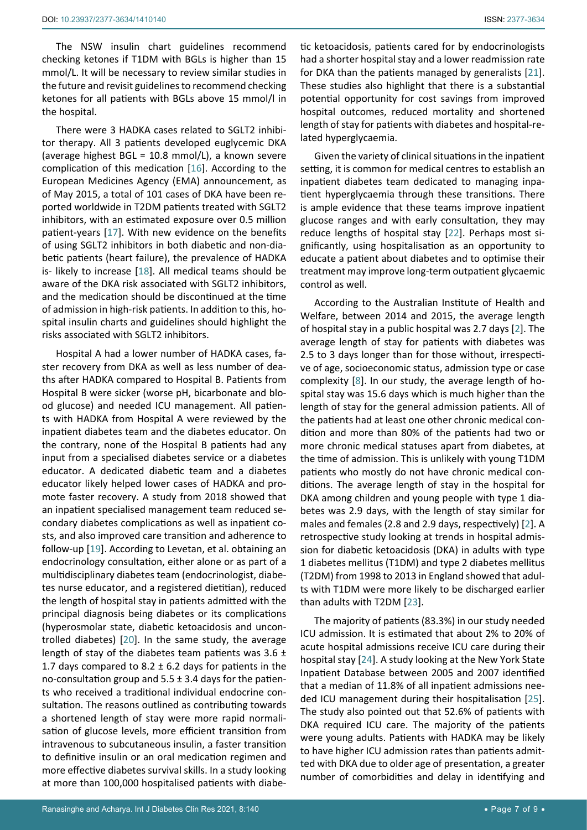The NSW insulin chart guidelines recommend checking ketones if T1DM with BGLs is higher than 15 mmol/L. It will be necessary to review similar studies in the future and revisit guidelines to recommend checking ketones for all patients with BGLs above 15 mmol/l in the hospital.

There were 3 HADKA cases related to SGLT2 inhibitor therapy. All 3 patients developed euglycemic DKA (average highest BGL = 10.8 mmol/L), a known severe complication of this medication [[16\]](#page-8-7). According to the European Medicines Agency (EMA) announcement, as of May 2015, a total of 101 cases of DKA have been reported worldwide in T2DM patients treated with SGLT2 inhibitors, with an estimated exposure over 0.5 million patient-years [[17](#page-8-8)]. With new evidence on the benefits of using SGLT2 inhibitors in both diabetic and non-diabetic patients (heart failure), the prevalence of HADKA is- likely to increase [[18](#page-8-9)]. All medical teams should be aware of the DKA risk associated with SGLT2 inhibitors, and the medication should be discontinued at the time of admission in high-risk patients. In addition to this, hospital insulin charts and guidelines should highlight the risks associated with SGLT2 inhibitors.

Hospital A had a lower number of HADKA cases, faster recovery from DKA as well as less number of deaths after HADKA compared to Hospital B. Patients from Hospital B were sicker (worse pH, bicarbonate and blood glucose) and needed ICU management. All patients with HADKA from Hospital A were reviewed by the inpatient diabetes team and the diabetes educator. On the contrary, none of the Hospital B patients had any input from a specialised diabetes service or a diabetes educator. A dedicated diabetic team and a diabetes educator likely helped lower cases of HADKA and promote faster recovery. A study from 2018 showed that an inpatient specialised management team reduced secondary diabetes complications as well as inpatient costs, and also improved care transition and adherence to follow-up [[19](#page-8-10)]. According to Levetan, et al. obtaining an endocrinology consultation, either alone or as part of a multidisciplinary diabetes team (endocrinologist, diabetes nurse educator, and a registered dietitian), reduced the length of hospital stay in patients admitted with the principal diagnosis being diabetes or its complications (hyperosmolar state, diabetic ketoacidosis and uncontrolled diabetes) [[20](#page-8-11)]. In the same study, the average length of stay of the diabetes team patients was  $3.6 \pm$ 1.7 days compared to 8.2  $\pm$  6.2 days for patients in the no-consultation group and  $5.5 \pm 3.4$  days for the patients who received a traditional individual endocrine consultation. The reasons outlined as contributing towards a shortened length of stay were more rapid normalisation of glucose levels, more efficient transition from intravenous to subcutaneous insulin, a faster transition to definitive insulin or an oral medication regimen and more effective diabetes survival skills. In a study looking at more than 100,000 hospitalised patients with diabetic ketoacidosis, patients cared for by endocrinologists had a shorter hospital stay and a lower readmission rate for DKA than the patients managed by generalists [[21\]](#page-8-2). These studies also highlight that there is a substantial potential opportunity for cost savings from improved hospital outcomes, reduced mortality and shortened length of stay for patients with diabetes and hospital-related hyperglycaemia.

Given the variety of clinical situations in the inpatient setting, it is common for medical centres to establish an inpatient diabetes team dedicated to managing inpatient hyperglycaemia through these transitions. There is ample evidence that these teams improve inpatient glucose ranges and with early consultation, they may reduce lengths of hospital stay [[22\]](#page-8-3). Perhaps most significantly, using hospitalisation as an opportunity to educate a patient about diabetes and to optimise their treatment may improve long-term outpatient glycaemic control as well.

According to the Australian Institute of Health and Welfare, between 2014 and 2015, the average length of hospital stay in a public hospital was 2.7 days [[2\]](#page-7-1). The average length of stay for patients with diabetes was 2.5 to 3 days longer than for those without, irrespective of age, socioeconomic status, admission type or case complexity [[8](#page-7-7)]. In our study, the average length of hospital stay was 15.6 days which is much higher than the length of stay for the general admission patients. All of the patients had at least one other chronic medical condition and more than 80% of the patients had two or more chronic medical statuses apart from diabetes, at the time of admission. This is unlikely with young T1DM patients who mostly do not have chronic medical conditions. The average length of stay in the hospital for DKA among children and young people with type 1 diabetes was 2.9 days, with the length of stay similar for males and females (2.8 and 2.9 days, respectively) [[2](#page-7-1)]. A retrospective study looking at trends in hospital admission for diabetic ketoacidosis (DKA) in adults with type 1 diabetes mellitus (T1DM) and type 2 diabetes mellitus (T2DM) from 1998 to 2013 in England showed that adults with T1DM were more likely to be discharged earlier than adults with T2DM [[23](#page-8-4)].

The majority of patients (83.3%) in our study needed ICU admission. It is estimated that about 2% to 20% of acute hospital admissions receive ICU care during their hospital stay [[24](#page-8-5)]. A study looking at the New York State Inpatient Database between 2005 and 2007 identified that a median of 11.8% of all inpatient admissions needed ICU management during their hospitalisation [[25\]](#page-8-6). The study also pointed out that 52.6% of patients with DKA required ICU care. The majority of the patients were young adults. Patients with HADKA may be likely to have higher ICU admission rates than patients admitted with DKA due to older age of presentation, a greater number of comorbidities and delay in identifying and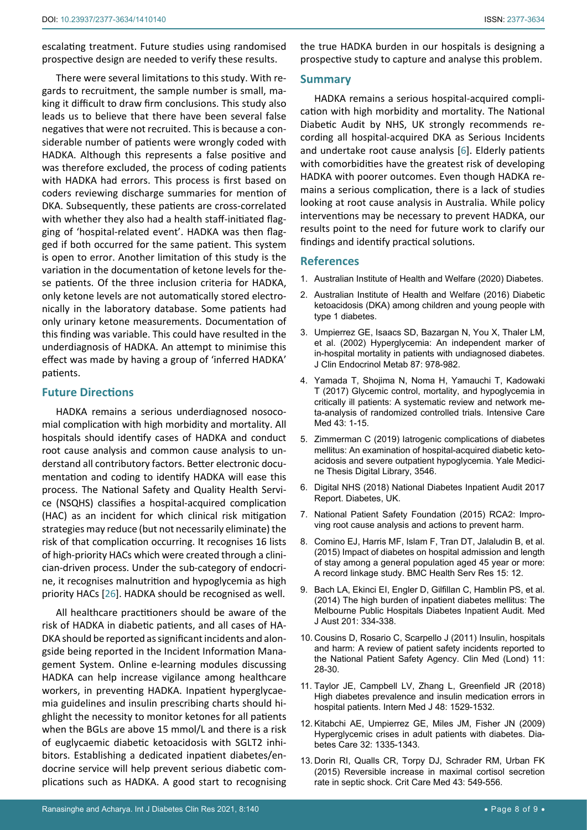escalating treatment. Future studies using randomised prospective design are needed to verify these results.

There were several limitations to this study. With regards to recruitment, the sample number is small, making it difficult to draw firm conclusions. This study also leads us to believe that there have been several false negatives that were not recruited. This is because a considerable number of patients were wrongly coded with HADKA. Although this represents a false positive and was therefore excluded, the process of coding patients with HADKA had errors. This process is first based on coders reviewing discharge summaries for mention of DKA. Subsequently, these patients are cross-correlated with whether they also had a health staff-initiated flagging of 'hospital-related event'. HADKA was then flagged if both occurred for the same patient. This system is open to error. Another limitation of this study is the variation in the documentation of ketone levels for these patients. Of the three inclusion criteria for HADKA, only ketone levels are not automatically stored electronically in the laboratory database. Some patients had only urinary ketone measurements. Documentation of this finding was variable. This could have resulted in the underdiagnosis of HADKA. An attempt to minimise this effect was made by having a group of 'inferred HADKA' patients.

### **Future Directions**

HADKA remains a serious underdiagnosed nosocomial complication with high morbidity and mortality. All hospitals should identify cases of HADKA and conduct root cause analysis and common cause analysis to understand all contributory factors. Better electronic documentation and coding to identify HADKA will ease this process. The National Safety and Quality Health Service (NSQHS) classifies a hospital-acquired complication (HAC) as an incident for which clinical risk mitigation strategies may reduce (but not necessarily eliminate) the risk of that complication occurring. It recognises 16 lists of high-priority HACs which were created through a clinician-driven process. Under the sub-category of endocrine, it recognises malnutrition and hypoglycemia as high priority HACs [[26](#page-8-12)]. HADKA should be recognised as well.

All healthcare practitioners should be aware of the risk of HADKA in diabetic patients, and all cases of HA-DKA should be reported as significant incidents and alongside being reported in the Incident Information Management System. Online e-learning modules discussing HADKA can help increase vigilance among healthcare workers, in preventing HADKA. Inpatient hyperglycaemia guidelines and insulin prescribing charts should highlight the necessity to monitor ketones for all patients when the BGLs are above 15 mmol/L and there is a risk of euglycaemic diabetic ketoacidosis with SGLT2 inhibitors. Establishing a dedicated inpatient diabetes/endocrine service will help prevent serious diabetic complications such as HADKA. A good start to recognising

the true HADKA burden in our hospitals is designing a prospective study to capture and analyse this problem.

#### **Summary**

HADKA remains a serious hospital-acquired complication with high morbidity and mortality. The National Diabetic Audit by NHS, UK strongly recommends recording all hospital-acquired DKA as Serious Incidents and undertake root cause analysis [[6](#page-7-6)]. Elderly patients with comorbidities have the greatest risk of developing HADKA with poorer outcomes. Even though HADKA remains a serious complication, there is a lack of studies looking at root cause analysis in Australia. While policy interventions may be necessary to prevent HADKA, our results point to the need for future work to clarify our findings and identify practical solutions.

### **References**

- <span id="page-7-0"></span>1. [Australian Institute of Health and Welfare \(2020\) Diabetes.](https://www.aihw.gov.au/reports/diabetes/diabetes/contents/what-is-diabetes)
- <span id="page-7-1"></span>2. [Australian Institute of Health and Welfare \(2016\) Diabetic](https://www.aihw.gov.au/reports/diabetes/diabetic-ketoacidosis-dka-among-children-and-young-people-with-type-1-diabetes/contents/table-of-contents)  [ketoacidosis \(DKA\) among children and young people with](https://www.aihw.gov.au/reports/diabetes/diabetic-ketoacidosis-dka-among-children-and-young-people-with-type-1-diabetes/contents/table-of-contents)  [type 1 diabetes.](https://www.aihw.gov.au/reports/diabetes/diabetic-ketoacidosis-dka-among-children-and-young-people-with-type-1-diabetes/contents/table-of-contents)
- <span id="page-7-3"></span>3. [Umpierrez GE, Isaacs SD, Bazargan N, You X, Thaler LM,](https://pubmed.ncbi.nlm.nih.gov/11889147/)  [et al. \(2002\) Hyperglycemia: An independent marker of](https://pubmed.ncbi.nlm.nih.gov/11889147/)  [in-hospital mortality in patients with undiagnosed diabetes.](https://pubmed.ncbi.nlm.nih.gov/11889147/)  [J Clin Endocrinol Metab 87: 978-982.](https://pubmed.ncbi.nlm.nih.gov/11889147/)
- <span id="page-7-4"></span>4. [Yamada T, Shojima N, Noma H, Yamauchi T, Kadowaki](https://pubmed.ncbi.nlm.nih.gov/27637719/)  [T \(2017\) Glycemic control, mortality, and hypoglycemia in](https://pubmed.ncbi.nlm.nih.gov/27637719/)  [critically ill patients: A systematic review and network me](https://pubmed.ncbi.nlm.nih.gov/27637719/)[ta-analysis of randomized controlled trials. Intensive Care](https://pubmed.ncbi.nlm.nih.gov/27637719/)  [Med 43: 1-15.](https://pubmed.ncbi.nlm.nih.gov/27637719/)
- <span id="page-7-5"></span>5. [Zimmerman C \(2019\) Iatrogenic complications of diabetes](https://elischolar.library.yale.edu/cgi/viewcontent.cgi?article=3546&context=ymtdl)  [mellitus: An examination of hospital-acquired diabetic keto](https://elischolar.library.yale.edu/cgi/viewcontent.cgi?article=3546&context=ymtdl)[acidosis and severe outpatient hypoglycemia. Yale Medici](https://elischolar.library.yale.edu/cgi/viewcontent.cgi?article=3546&context=ymtdl)[ne Thesis Digital Library, 3546.](https://elischolar.library.yale.edu/cgi/viewcontent.cgi?article=3546&context=ymtdl)
- <span id="page-7-6"></span>6. [Digital NHS \(2018\) National Diabetes Inpatient Audit 2017](https://digital.nhs.uk/data-and-information/publications/statistical/national-diabetes-inpatient-audit/national-diabetes-inpatient-audit-nadia-2017)  [Report. Diabetes, UK.](https://digital.nhs.uk/data-and-information/publications/statistical/national-diabetes-inpatient-audit/national-diabetes-inpatient-audit-nadia-2017)
- <span id="page-7-2"></span>7. [National Patient Safety Foundation \(2015\) RCA2: Impro](https://www.ashp.org/-/media/assets/policy-guidelines/docs/endorsed-documents/endorsed-documents-improving-root-cause-analyses-actions-prevent-harm.ashx)[ving root cause analysis and actions to prevent harm.](https://www.ashp.org/-/media/assets/policy-guidelines/docs/endorsed-documents/endorsed-documents-improving-root-cause-analyses-actions-prevent-harm.ashx)
- <span id="page-7-7"></span>8. [Comino EJ, Harris MF, Islam F, Tran DT, Jalaludin B, et al.](https://pubmed.ncbi.nlm.nih.gov/25609196/)  [\(2015\) Impact of diabetes on hospital admission and length](https://pubmed.ncbi.nlm.nih.gov/25609196/)  [of stay among a general population aged 45 year or more:](https://pubmed.ncbi.nlm.nih.gov/25609196/)  [A record linkage study. BMC Health Serv Res 15: 12.](https://pubmed.ncbi.nlm.nih.gov/25609196/)
- <span id="page-7-8"></span>9. [Bach LA, Ekinci EI, Engler D, Gilfillan C, Hamblin PS, et al.](https://pubmed.ncbi.nlm.nih.gov/25222457/)  [\(2014\) The high burden of inpatient diabetes mellitus: The](https://pubmed.ncbi.nlm.nih.gov/25222457/)  [Melbourne Public Hospitals Diabetes Inpatient Audit. Med](https://pubmed.ncbi.nlm.nih.gov/25222457/)  [J Aust 201: 334-338.](https://pubmed.ncbi.nlm.nih.gov/25222457/)
- <span id="page-7-9"></span>10. [Cousins D, Rosario C, Scarpello J \(2011\) Insulin, hospitals](https://pubmed.ncbi.nlm.nih.gov/21404780/)  [and harm: A review of patient safety incidents reported to](https://pubmed.ncbi.nlm.nih.gov/21404780/)  [the National Patient Safety Agency. Clin Med \(Lond\) 11:](https://pubmed.ncbi.nlm.nih.gov/21404780/)  [28-30.](https://pubmed.ncbi.nlm.nih.gov/21404780/)
- <span id="page-7-10"></span>11. [Taylor JE, Campbell LV, Zhang L, Greenfield JR \(2018\)](https://pubmed.ncbi.nlm.nih.gov/30517999/)  [High diabetes prevalence and insulin medication errors in](https://pubmed.ncbi.nlm.nih.gov/30517999/)  [hospital patients. Intern Med J 48: 1529-1532.](https://pubmed.ncbi.nlm.nih.gov/30517999/)
- <span id="page-7-11"></span>12. [Kitabchi AE, Umpierrez GE, Miles JM, Fisher JN \(2009\)](https://pubmed.ncbi.nlm.nih.gov/19564476/)  [Hyperglycemic crises in adult patients with diabetes. Dia](https://pubmed.ncbi.nlm.nih.gov/19564476/)[betes Care 32: 1335-1343.](https://pubmed.ncbi.nlm.nih.gov/19564476/)
- <span id="page-7-12"></span>13. [Dorin RI, Qualls CR, Torpy DJ, Schrader RM, Urban FK](https://pubmed.ncbi.nlm.nih.gov/25365720/)  [\(2015\) Reversible increase in maximal cortisol secretion](https://pubmed.ncbi.nlm.nih.gov/25365720/)  [rate in septic shock. Crit Care Med 43: 549-556.](https://pubmed.ncbi.nlm.nih.gov/25365720/)